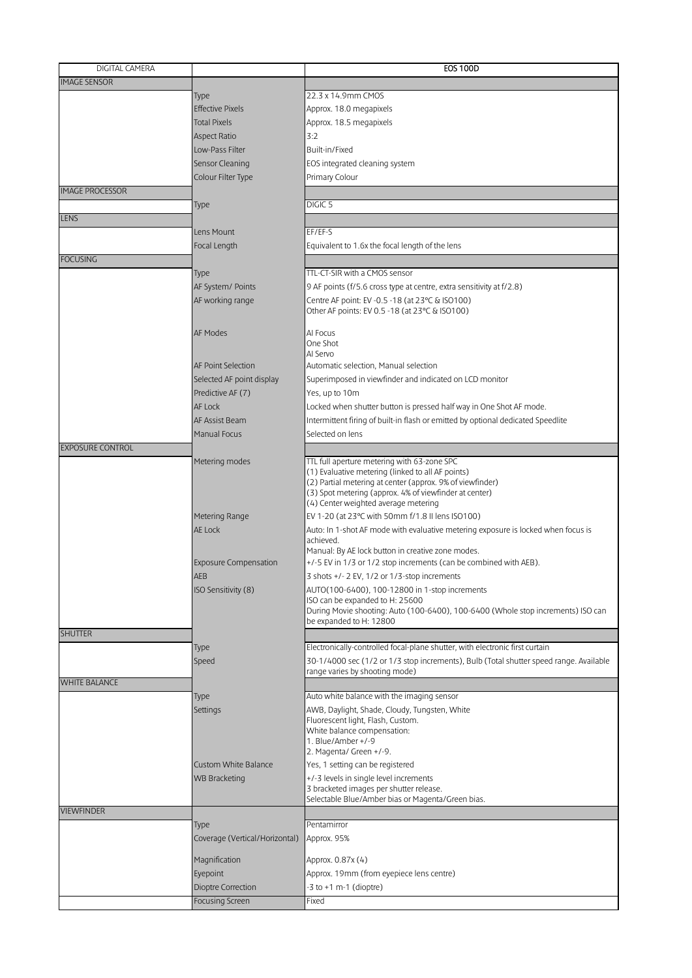| DIGITAL CAMERA          |                                | <b>EOS 100D</b>                                                                                                     |
|-------------------------|--------------------------------|---------------------------------------------------------------------------------------------------------------------|
| <b>IMAGE SENSOR</b>     |                                |                                                                                                                     |
|                         | Type                           | 22.3 x 14.9mm CMOS                                                                                                  |
|                         | <b>Effective Pixels</b>        | Approx. 18.0 megapixels                                                                                             |
|                         | <b>Total Pixels</b>            | Approx. 18.5 megapixels                                                                                             |
|                         | <b>Aspect Ratio</b>            | 3:2                                                                                                                 |
|                         | Low-Pass Filter                | Built-in/Fixed                                                                                                      |
|                         |                                |                                                                                                                     |
|                         | Sensor Cleaning                | EOS integrated cleaning system                                                                                      |
|                         | Colour Filter Type             | Primary Colour                                                                                                      |
| <b>IMAGE PROCESSOR</b>  |                                |                                                                                                                     |
|                         | Type                           | DIGIC <sub>5</sub>                                                                                                  |
| <b>LENS</b>             |                                |                                                                                                                     |
|                         | Lens Mount                     | EF/EF-S                                                                                                             |
|                         | Focal Length                   | Equivalent to 1.6x the focal length of the lens                                                                     |
| <b>FOCUSING</b>         |                                |                                                                                                                     |
|                         | Type                           | TTL-CT-SIR with a CMOS sensor                                                                                       |
|                         | AF System/ Points              | 9 AF points (f/5.6 cross type at centre, extra sensitivity at f/2.8)                                                |
|                         | AF working range               | Centre AF point: EV -0.5 -18 (at 23°C & ISO100)                                                                     |
|                         |                                | Other AF points: EV 0.5 -18 (at 23°C & ISO100)                                                                      |
|                         | <b>AF Modes</b>                | Al Focus                                                                                                            |
|                         |                                | One Shot                                                                                                            |
|                         |                                | Al Servo                                                                                                            |
|                         | <b>AF Point Selection</b>      | Automatic selection, Manual selection                                                                               |
|                         | Selected AF point display      | Superimposed in viewfinder and indicated on LCD monitor                                                             |
|                         | Predictive AF (7)              | Yes, up to 10m                                                                                                      |
|                         | <b>AF Lock</b>                 | Locked when shutter button is pressed half way in One Shot AF mode.                                                 |
|                         | <b>AF Assist Beam</b>          | Intermittent firing of built-in flash or emitted by optional dedicated Speedlite                                    |
|                         | Manual Focus                   | Selected on lens                                                                                                    |
| <b>EXPOSURE CONTROL</b> |                                |                                                                                                                     |
|                         | Metering modes                 | TTL full aperture metering with 63-zone SPC                                                                         |
|                         |                                | (1) Evaluative metering (linked to all AF points)                                                                   |
|                         |                                | (2) Partial metering at center (approx. 9% of viewfinder)<br>(3) Spot metering (approx. 4% of viewfinder at center) |
|                         |                                | (4) Center weighted average metering                                                                                |
|                         | Metering Range                 | EV 1-20 (at 23°C with 50mm f/1.8 II lens ISO100)                                                                    |
|                         | AE Lock                        | Auto: In 1-shot AF mode with evaluative metering exposure is locked when focus is                                   |
|                         |                                | achieved.                                                                                                           |
|                         |                                | Manual: By AE lock button in creative zone modes.                                                                   |
|                         | <b>Exposure Compensation</b>   | $+/-5$ EV in 1/3 or 1/2 stop increments (can be combined with AEB).                                                 |
|                         | <b>AEB</b>                     | 3 shots +/- 2 EV, 1/2 or 1/3-stop increments                                                                        |
|                         | ISO Sensitivity (8)            | AUTO(100-6400), 100-12800 in 1-stop increments                                                                      |
|                         |                                | ISO can be expanded to H: 25600<br>During Movie shooting: Auto (100-6400), 100-6400 (Whole stop increments) ISO can |
|                         |                                | be expanded to H: 12800                                                                                             |
| <b>SHUTTER</b>          |                                |                                                                                                                     |
|                         | Type                           | Electronically-controlled focal-plane shutter, with electronic first curtain                                        |
|                         | Speed                          | 30-1/4000 sec (1/2 or 1/3 stop increments), Bulb (Total shutter speed range. Available                              |
|                         |                                | range varies by shooting mode)                                                                                      |
| <b>WHITE BALANCE</b>    |                                |                                                                                                                     |
|                         | Type                           | Auto white balance with the imaging sensor                                                                          |
|                         | Settings                       | AWB, Daylight, Shade, Cloudy, Tungsten, White                                                                       |
|                         |                                | Fluorescent light, Flash, Custom.<br>White balance compensation:                                                    |
|                         |                                | 1. Blue/Amber +/-9                                                                                                  |
|                         |                                | 2. Magenta/ Green +/-9.                                                                                             |
|                         | <b>Custom White Balance</b>    | Yes, 1 setting can be registered                                                                                    |
|                         | <b>WB Bracketing</b>           | +/-3 levels in single level increments                                                                              |
|                         |                                | 3 bracketed images per shutter release.                                                                             |
| <b>VIEWFINDER</b>       |                                | Selectable Blue/Amber bias or Magenta/Green bias.                                                                   |
|                         |                                | Pentamirror                                                                                                         |
|                         | Type                           |                                                                                                                     |
|                         | Coverage (Vertical/Horizontal) | Approx. 95%                                                                                                         |
|                         | Magnification                  | Approx. 0.87x (4)                                                                                                   |
|                         | Eyepoint                       | Approx. 19mm (from eyepiece lens centre)                                                                            |
|                         | Dioptre Correction             | -3 to +1 m-1 (dioptre)                                                                                              |
|                         | <b>Focusing Screen</b>         | Fixed                                                                                                               |
|                         |                                |                                                                                                                     |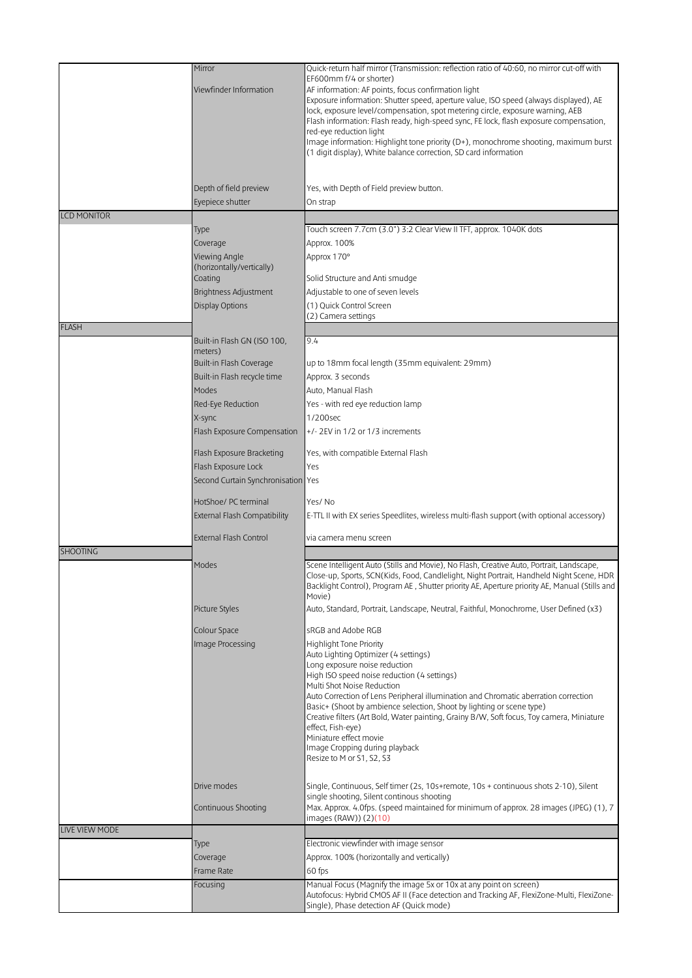|                    | Mirror                                 | Quick-return half mirror (Transmission: reflection ratio of 40:60, no mirror cut-off with                                                                                |
|--------------------|----------------------------------------|--------------------------------------------------------------------------------------------------------------------------------------------------------------------------|
|                    |                                        | EF600mm f/4 or shorter)                                                                                                                                                  |
|                    | Viewfinder Information                 | AF information: AF points, focus confirmation light                                                                                                                      |
|                    |                                        | Exposure information: Shutter speed, aperture value, ISO speed (always displayed), AE                                                                                    |
|                    |                                        | lock, exposure level/compensation, spot metering circle, exposure warning, AEB<br>Flash information: Flash ready, high-speed sync, FE lock, flash exposure compensation, |
|                    |                                        | red-eye reduction light                                                                                                                                                  |
|                    |                                        | Image information: Highlight tone priority (D+), monochrome shooting, maximum burst                                                                                      |
|                    |                                        | (1 digit display), White balance correction, SD card information                                                                                                         |
|                    |                                        |                                                                                                                                                                          |
|                    |                                        |                                                                                                                                                                          |
|                    | Depth of field preview                 | Yes, with Depth of Field preview button.                                                                                                                                 |
|                    | Eyepiece shutter                       | On strap                                                                                                                                                                 |
| <b>LCD MONITOR</b> |                                        |                                                                                                                                                                          |
|                    | Type                                   | Touch screen 7.7cm (3.0") 3:2 Clear View II TFT, approx. 1040K dots                                                                                                      |
|                    | Coverage                               | Approx. 100%                                                                                                                                                             |
|                    | Viewing Angle                          | Approx 170°                                                                                                                                                              |
|                    | (horizontally/vertically)              |                                                                                                                                                                          |
|                    | Coating                                | Solid Structure and Anti smudge                                                                                                                                          |
|                    | <b>Brightness Adjustment</b>           | Adjustable to one of seven levels                                                                                                                                        |
|                    | <b>Display Options</b>                 | (1) Quick Control Screen                                                                                                                                                 |
|                    |                                        | (2) Camera settings                                                                                                                                                      |
| <b>FLASH</b>       |                                        |                                                                                                                                                                          |
|                    | Built-in Flash GN (ISO 100,<br>meters) | 9.4                                                                                                                                                                      |
|                    | Built-in Flash Coverage                | up to 18mm focal length (35mm equivalent: 29mm)                                                                                                                          |
|                    | Built-in Flash recycle time            | Approx. 3 seconds                                                                                                                                                        |
|                    | Modes                                  | Auto, Manual Flash                                                                                                                                                       |
|                    |                                        |                                                                                                                                                                          |
|                    | Red-Eye Reduction                      | Yes - with red eye reduction lamp                                                                                                                                        |
|                    | X-sync                                 | 1/200sec                                                                                                                                                                 |
|                    | Flash Exposure Compensation            | $+/- 2$ EV in 1/2 or 1/3 increments                                                                                                                                      |
|                    | Flash Exposure Bracketing              | Yes, with compatible External Flash                                                                                                                                      |
|                    | Flash Exposure Lock                    | Yes                                                                                                                                                                      |
|                    | Second Curtain Synchronisation Yes     |                                                                                                                                                                          |
|                    |                                        |                                                                                                                                                                          |
|                    | HotShoe/ PC terminal                   | Yes/No                                                                                                                                                                   |
|                    | <b>External Flash Compatibility</b>    | E-TTL II with EX series Speedlites, wireless multi-flash support (with optional accessory)                                                                               |
|                    |                                        |                                                                                                                                                                          |
|                    | <b>External Flash Control</b>          | via camera menu screen                                                                                                                                                   |
| <b>SHOOTING</b>    |                                        |                                                                                                                                                                          |
|                    | Modes                                  | Scene Intelligent Auto (Stills and Movie), No Flash, Creative Auto, Portrait, Landscape,                                                                                 |
|                    |                                        | Close-up, Sports, SCN(Kids, Food, Candlelight, Night Portrait, Handheld Night Scene, HDR                                                                                 |
|                    |                                        | Backlight Control), Program AE, Shutter priority AE, Aperture priority AE, Manual (Stills and<br>Movie)                                                                  |
|                    | Picture Styles                         | Auto, Standard, Portrait, Landscape, Neutral, Faithful, Monochrome, User Defined (x3)                                                                                    |
|                    |                                        |                                                                                                                                                                          |
|                    | Colour Space                           | sRGB and Adobe RGB                                                                                                                                                       |
|                    | Image Processing                       | Highlight Tone Priority                                                                                                                                                  |
|                    |                                        | Auto Lighting Optimizer (4 settings)                                                                                                                                     |
|                    |                                        | Long exposure noise reduction                                                                                                                                            |
|                    |                                        | High ISO speed noise reduction (4 settings)<br>Multi Shot Noise Reduction                                                                                                |
|                    |                                        | Auto Correction of Lens Peripheral illumination and Chromatic aberration correction                                                                                      |
|                    |                                        | Basic+ (Shoot by ambience selection, Shoot by lighting or scene type)                                                                                                    |
|                    |                                        | Creative filters (Art Bold, Water painting, Grainy B/W, Soft focus, Toy camera, Miniature                                                                                |
|                    |                                        | effect, Fish-eye)<br>Miniature effect movie                                                                                                                              |
|                    |                                        | Image Cropping during playback                                                                                                                                           |
|                    |                                        | Resize to M or S1, S2, S3                                                                                                                                                |
|                    |                                        |                                                                                                                                                                          |
|                    | Drive modes                            | Single, Continuous, Self timer (2s, 10s+remote, 10s + continuous shots 2-10), Silent                                                                                     |
|                    |                                        | single shooting, Silent continous shooting                                                                                                                               |
|                    | Continuous Shooting                    | Max. Approx. 4.0fps. (speed maintained for minimum of approx. 28 images (JPEG) (1), 7                                                                                    |
|                    |                                        | images (RAW)) (2)(10)                                                                                                                                                    |
| LIVE VIEW MODE     |                                        |                                                                                                                                                                          |
|                    | Type                                   | Electronic viewfinder with image sensor                                                                                                                                  |
|                    | Coverage                               | Approx. 100% (horizontally and vertically)                                                                                                                               |
|                    | Frame Rate                             | 60 fps                                                                                                                                                                   |
|                    | Focusing                               | Manual Focus (Magnify the image 5x or 10x at any point on screen)                                                                                                        |
|                    |                                        | Autofocus: Hybrid CMOS AF II (Face detection and Tracking AF, FlexiZone-Multi, FlexiZone-<br>Single), Phase detection AF (Quick mode)                                    |
|                    |                                        |                                                                                                                                                                          |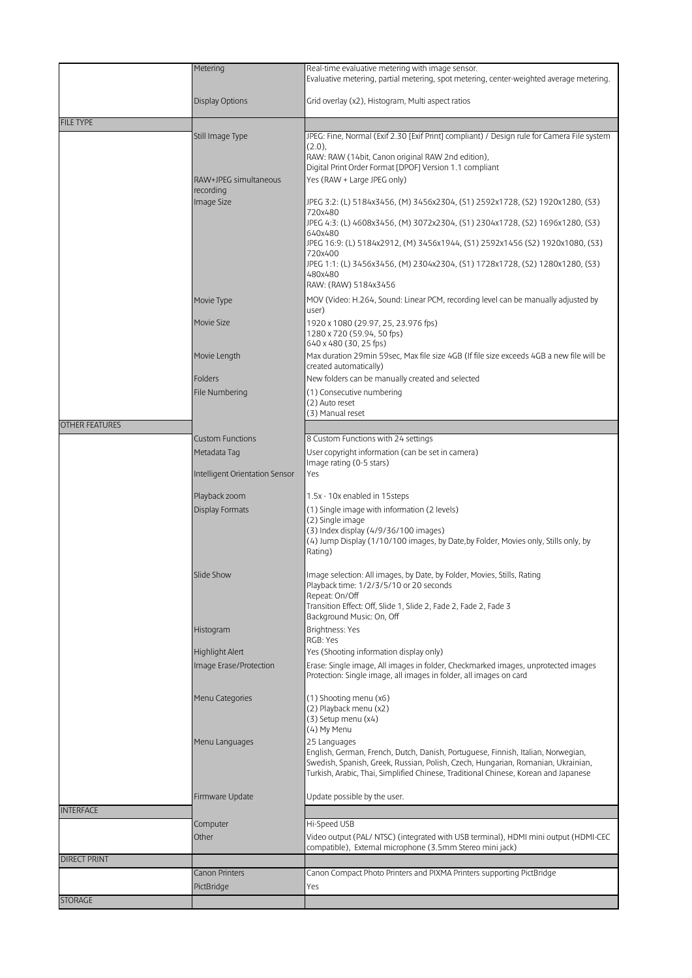|                       | Metering                                  | Real-time evaluative metering with image sensor.                                                                                                                     |
|-----------------------|-------------------------------------------|----------------------------------------------------------------------------------------------------------------------------------------------------------------------|
|                       |                                           | Evaluative metering, partial metering, spot metering, center-weighted average metering.                                                                              |
|                       |                                           |                                                                                                                                                                      |
|                       | Display Options                           | Grid overlay (x2), Histogram, Multi aspect ratios                                                                                                                    |
| <b>FILE TYPE</b>      |                                           |                                                                                                                                                                      |
|                       | Still Image Type                          | JPEG: Fine, Normal (Exif 2.30 [Exif Print] compliant) / Design rule for Camera File system                                                                           |
|                       |                                           | $(2.0)$ ,<br>RAW: RAW (14bit, Canon original RAW 2nd edition),                                                                                                       |
|                       |                                           | Digital Print Order Format [DPOF] Version 1.1 compliant                                                                                                              |
|                       | RAW+JPEG simultaneous                     | Yes (RAW + Large JPEG only)                                                                                                                                          |
|                       | recording<br>Image Size                   |                                                                                                                                                                      |
|                       |                                           | JPEG 3:2: (L) 5184x3456, (M) 3456x2304, (S1) 2592x1728, (S2) 1920x1280, (S3)<br>720x480                                                                              |
|                       |                                           | JPEG 4:3: (L) 4608x3456, (M) 3072x2304, (S1) 2304x1728, (S2) 1696x1280, (S3)<br>640x480                                                                              |
|                       |                                           | JPEG 16:9: (L) 5184x2912, (M) 3456x1944, (S1) 2592x1456 (S2) 1920x1080, (S3)<br>720x400                                                                              |
|                       |                                           | JPEG 1:1: (L) 3456x3456, (M) 2304x2304, (S1) 1728x1728, (S2) 1280x1280, (S3)                                                                                         |
|                       |                                           | 480x480<br>RAW: (RAW) 5184x3456                                                                                                                                      |
|                       | Movie Type                                | MOV (Video: H.264, Sound: Linear PCM, recording level can be manually adjusted by                                                                                    |
|                       |                                           | user)                                                                                                                                                                |
|                       | Movie Size                                | 1920 x 1080 (29.97, 25, 23.976 fps)<br>1280 x 720 (59.94, 50 fps)                                                                                                    |
|                       | Movie Length                              | 640 x 480 (30, 25 fps)<br>Max duration 29min 59sec, Max file size 4GB (If file size exceeds 4GB a new file will be                                                   |
|                       |                                           | created automatically)                                                                                                                                               |
|                       | <b>Folders</b>                            | New folders can be manually created and selected                                                                                                                     |
|                       | File Numbering                            | (1) Consecutive numbering<br>(2) Auto reset                                                                                                                          |
|                       |                                           | (3) Manual reset                                                                                                                                                     |
| <b>OTHER FEATURES</b> |                                           |                                                                                                                                                                      |
|                       | <b>Custom Functions</b>                   | 8 Custom Functions with 24 settings                                                                                                                                  |
|                       | Metadata Tag                              | User copyright information (can be set in camera)                                                                                                                    |
|                       | Intelligent Orientation Sensor            | Image rating (0-5 stars)<br>Yes                                                                                                                                      |
|                       |                                           |                                                                                                                                                                      |
|                       | Playback zoom                             | 1.5x - 10x enabled in 15steps                                                                                                                                        |
|                       | <b>Display Formats</b>                    | (1) Single image with information (2 levels)                                                                                                                         |
|                       |                                           | (2) Single image<br>(3) Index display (4/9/36/100 images)                                                                                                            |
|                       |                                           | (4) Jump Display (1/10/100 images, by Date, by Folder, Movies only, Stills only, by                                                                                  |
|                       |                                           | Rating)                                                                                                                                                              |
|                       | Slide Show                                | Image selection: All images, by Date, by Folder, Movies, Stills, Rating                                                                                              |
|                       |                                           | Playback time: 1/2/3/5/10 or 20 seconds                                                                                                                              |
|                       |                                           | Repeat: On/Off<br>Transition Effect: Off, Slide 1, Slide 2, Fade 2, Fade 2, Fade 3                                                                                   |
|                       |                                           | Background Music: On, Off                                                                                                                                            |
|                       | Histogram                                 | Brightness: Yes                                                                                                                                                      |
|                       |                                           | RGB: Yes                                                                                                                                                             |
|                       | Highlight Alert<br>Image Erase/Protection | Yes (Shooting information display only)<br>Erase: Single image, All images in folder, Checkmarked images, unprotected images                                         |
|                       |                                           | Protection: Single image, all images in folder, all images on card                                                                                                   |
|                       | Menu Categories                           | (1) Shooting menu (x6)                                                                                                                                               |
|                       |                                           | (2) Playback menu (x2)<br>(3) Setup menu (x4)                                                                                                                        |
|                       |                                           | (4) My Menu                                                                                                                                                          |
|                       | Menu Languages                            | 25 Languages                                                                                                                                                         |
|                       |                                           | English, German, French, Dutch, Danish, Portuguese, Finnish, Italian, Norwegian,<br>Swedish, Spanish, Greek, Russian, Polish, Czech, Hungarian, Romanian, Ukrainian, |
|                       |                                           | Turkish, Arabic, Thai, Simplified Chinese, Traditional Chinese, Korean and Japanese                                                                                  |
|                       |                                           |                                                                                                                                                                      |
|                       | Firmware Update                           | Update possible by the user.                                                                                                                                         |
| <b>INTERFACE</b>      |                                           | Hi-Speed USB                                                                                                                                                         |
|                       | Computer<br>Other                         | Video output (PAL/ NTSC) (integrated with USB terminal), HDMI mini output (HDMI-CEC                                                                                  |
|                       |                                           | compatible), External microphone (3.5mm Stereo mini jack)                                                                                                            |
| <b>DIRECT PRINT</b>   |                                           |                                                                                                                                                                      |
|                       | <b>Canon Printers</b>                     | Canon Compact Photo Printers and PIXMA Printers supporting PictBridge                                                                                                |
|                       | PictBridge                                | Yes                                                                                                                                                                  |
| <b>STORAGE</b>        |                                           |                                                                                                                                                                      |